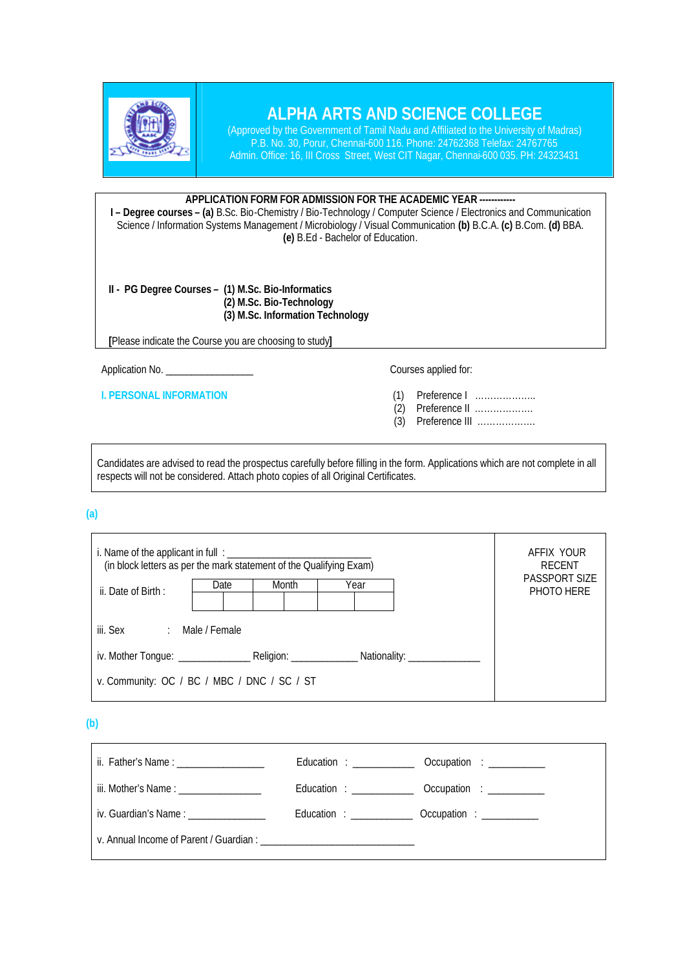

## **ALPHA ARTS AND SCIENCE COLLEGE**

(Approved by the Government of Tamil Nadu and Affiliated to the University of Madras) P.B. No. 30, Porur, Chennai-600 116. Phone: 24762368 Telefax: 24767765 Admin. Office: 16, III Cross Street, West CIT Nagar, Chennai-600 035. PH: 24323431

## **APPLICATION FORM FOR ADMISSION FOR THE ACADEMIC YEAR ------------**

**I – Degree courses – (a)** B.Sc. Bio-Chemistry / Bio-Technology / Computer Science / Electronics and Communication Science / Information Systems Management / Microbiology / Visual Communication **(b)** B.C.A. **(c)** B.Com. **(d)** BBA. **(e)** B.Ed - Bachelor of Education.

**II - PG Degree Courses – (1) M.Sc. Bio-Informatics (2) M.Sc. Bio-Technology (3) M.Sc. Information Technology**

**[**Please indicate the Course you are choosing to study**]**

Application No. \_\_\_\_\_\_\_\_\_\_\_\_\_\_\_\_\_ Courses applied for:

**I. PERSONAL INFORMATION** (1) Preference I ………………..<br>(2) Preference II …………………

- (2) Preference II ……………….
- (3) Preference III ……………….

Candidates are advised to read the prospectus carefully before filling in the form. Applications which are not complete in all respects will not be considered. Attach photo copies of all Original Certificates.

 **(a)**

| (in block letters as per the mark statement of the Qualifying Exam) |  |  |  |  | AFFIX YOUR<br><b>RECENT</b>        |
|---------------------------------------------------------------------|--|--|--|--|------------------------------------|
| Month<br>Year<br>Date<br>ii. Date of Birth:                         |  |  |  |  | <b>PASSPORT SIZE</b><br>PHOTO HERE |
| iii. Sex : Male / Female                                            |  |  |  |  |                                    |
|                                                                     |  |  |  |  |                                    |
| v. Community: OC / BC / MBC / DNC / SC / ST                         |  |  |  |  |                                    |

 **(b)**

| ii. Father's Name : _____________________                                                                       |  |                                                       |  |  |
|-----------------------------------------------------------------------------------------------------------------|--|-------------------------------------------------------|--|--|
| iii. Mother's Name : ___________________                                                                        |  |                                                       |  |  |
| iv. Guardian's Name: Name and the state of the state of the state of the state of the state of the state of the |  | Education : ________________ Occupation : ___________ |  |  |
|                                                                                                                 |  |                                                       |  |  |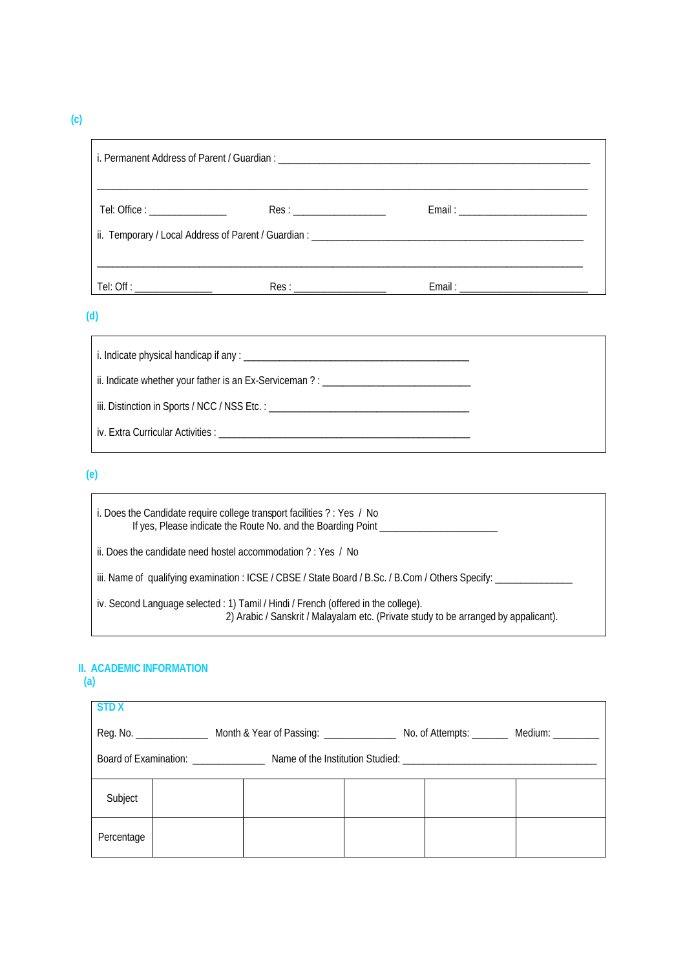**(c)** 

| Tel: Office : _________________ | Res: |                                                                                                                                                                                                                                |  |  |  |
|---------------------------------|------|--------------------------------------------------------------------------------------------------------------------------------------------------------------------------------------------------------------------------------|--|--|--|
|                                 |      |                                                                                                                                                                                                                                |  |  |  |
|                                 |      |                                                                                                                                                                                                                                |  |  |  |
|                                 | Res: | Email: Email: Email: Email: Email: Email: Email: Email: Email: Email: Email: Email: Email: Email: Email: Email: Email: Email: Email: Email: Email: Email: Email: Email: Email: Email: Email: Email: Email: Email: Email: Email |  |  |  |

 **(d)**

| ii. Indicate whether your father is an Ex-Serviceman? : $\frac{1}{1}$ |                                                                                  |
|-----------------------------------------------------------------------|----------------------------------------------------------------------------------|
|                                                                       |                                                                                  |
|                                                                       | iii. Distinction in Sports / NCC / NSS Etc. : __________________________________ |
|                                                                       |                                                                                  |

 **(e)**

| i. Does the Candidate require college transport facilities ? : Yes / No<br>If yes, Please indicate the Route No. and the Boarding Point                                   |
|---------------------------------------------------------------------------------------------------------------------------------------------------------------------------|
| ii. Does the candidate need hostel accommodation ?: Yes / No                                                                                                              |
| iii. Name of qualifying examination : ICSE / CBSE / State Board / B.Sc. / B.Com / Others Specify:                                                                         |
| iv. Second Language selected : 1) Tamil / Hindi / French (offered in the college).<br>2) Arabic / Sanskrit / Malayalam etc. (Private study to be arranged by appalicant). |

## **II. ACADEMIC INFORMATION**

 **(a)**

| <b>STDX</b>                                                                                                                        |  |  |  |  |  |
|------------------------------------------------------------------------------------------------------------------------------------|--|--|--|--|--|
| Reg. No. ______________________ Month & Year of Passing: ________________________ No. of Attempts: ___________ Medium: ___________ |  |  |  |  |  |
|                                                                                                                                    |  |  |  |  |  |
| Subject                                                                                                                            |  |  |  |  |  |
| Percentage                                                                                                                         |  |  |  |  |  |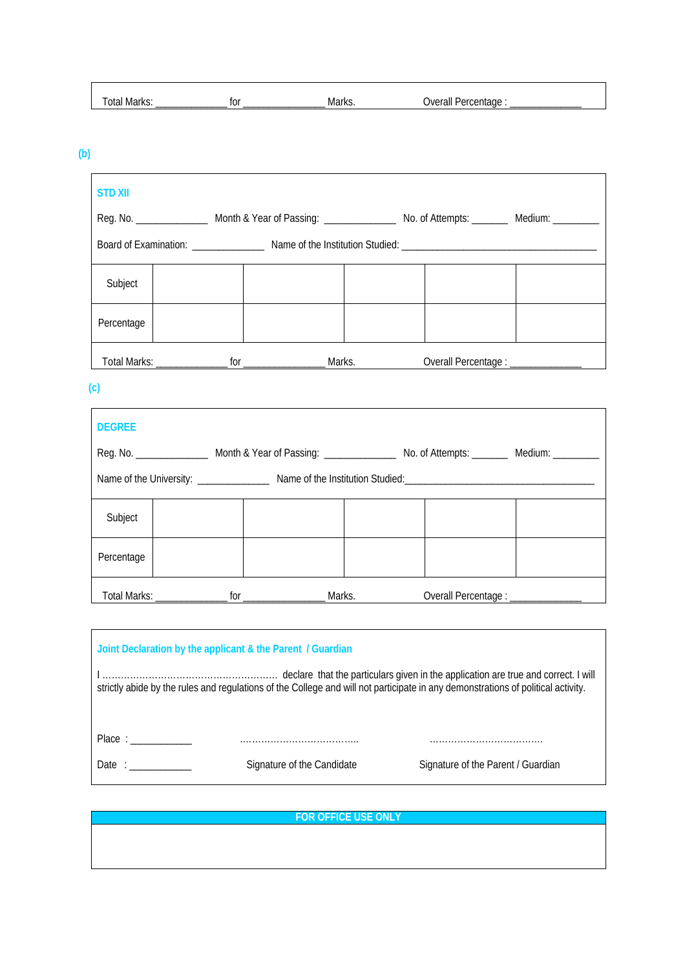| -<br>. | +~~<br>שו | $\mathbf{a}$<br><b>IVIA</b> | 111 |  |
|--------|-----------|-----------------------------|-----|--|

 **(b)**

| <b>STD XII</b> |                            |                                      |  |
|----------------|----------------------------|--------------------------------------|--|
|                |                            |                                      |  |
|                |                            |                                      |  |
| Subject        |                            |                                      |  |
| Percentage     |                            |                                      |  |
|                | Total Marks: Marks: Marks. | Overall Percentage : _______________ |  |

 **(c)**

 $\mathbf{r}$ 

| <b>DEGREE</b> |  |                                     |  |
|---------------|--|-------------------------------------|--|
|               |  |                                     |  |
|               |  |                                     |  |
| Subject       |  |                                     |  |
| Percentage    |  |                                     |  |
|               |  | Overall Percentage : ______________ |  |

| Joint Declaration by the applicant & the Parent / Guardian |                            |                                                                                                                                  |  |  |
|------------------------------------------------------------|----------------------------|----------------------------------------------------------------------------------------------------------------------------------|--|--|
|                                                            |                            | strictly abide by the rules and regulations of the College and will not participate in any demonstrations of political activity. |  |  |
| Place:                                                     |                            |                                                                                                                                  |  |  |
| Date:                                                      | Signature of the Candidate | Signature of the Parent / Guardian                                                                                               |  |  |
|                                                            |                            |                                                                                                                                  |  |  |

**FOR OFFICE USE ONLY**